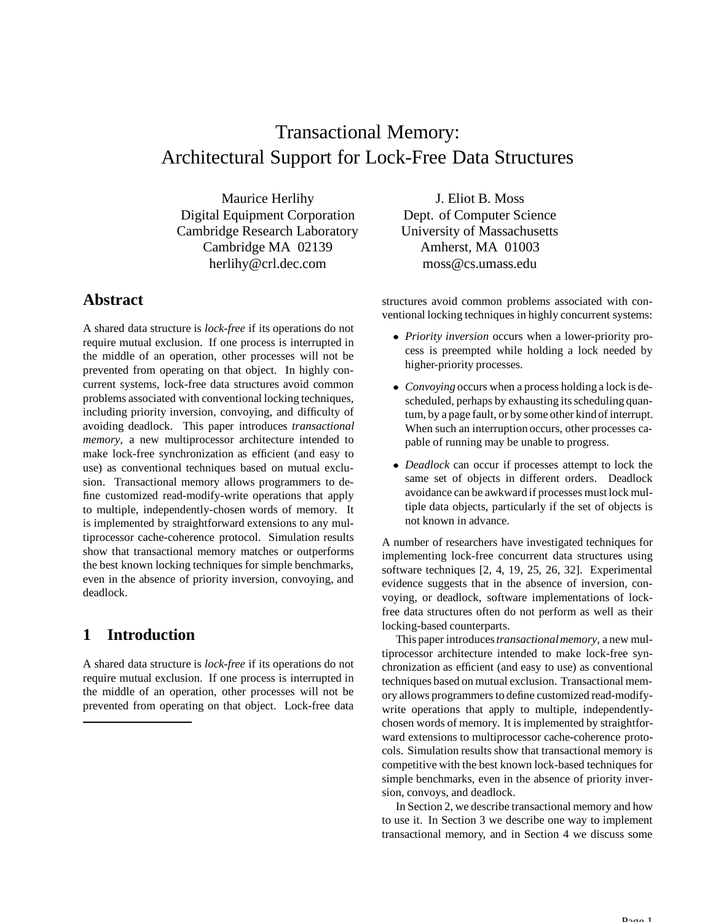# Transactional Memory: Architectural Support for Lock-Free Data Structures

Maurice Herlihy Digital Equipment Corporation Cambridge Research Laboratory Cambridge MA 02139 herlihy@crl.dec.com

## **Abstract**

A shared data structure is *lock-free* if its operations do not require mutual exclusion. If one process is interrupted in the middle of an operation, other processes will not be prevented from operating on that object. In highly concurrent systems, lock-free data structures avoid common problems associated with conventional locking techniques, including priority inversion, convoying, and difficulty of avoiding deadlock. This paper introduces *transactional memory*, a new multiprocessor architecture intended to make lock-free synchronization as efficient (and easy to use) as conventional techniques based on mutual exclusion. Transactional memory allows programmers to define customized read-modify-write operations that apply to multiple, independently-chosen words of memory. It is implemented by straightforward extensions to any multiprocessor cache-coherence protocol. Simulation results show that transactional memory matches or outperforms the best known locking techniques for simple benchmarks, even in the absence of priority inversion, convoying, and deadlock.

## **1 Introduction**

A shared data structure is *lock-free* if its operations do not require mutual exclusion. If one process is interrupted in the middle of an operation, other processes will not be prevented from operating on that object. Lock-free data

J. Eliot B. Moss Dept. of Computer Science University of Massachusetts Amherst, MA 01003 moss@cs.umass.edu

structures avoid common problems associated with conventional locking techniques in highly concurrent systems:

- *Priority inversion* occurs when a lower-priority process is preempted while holding a lock needed by higher-priority processes.
- *Convoying* occurs when a process holding a lock is descheduled, perhaps by exhausting its scheduling quantum, by a page fault, or by some other kindof interrupt. When such an interruption occurs, other processes capable of running may be unable to progress.
- *Deadlock* can occur if processes attempt to lock the same set of objects in different orders. Deadlock avoidance can be awkward if processes must lock multiple data objects, particularly if the set of objects is not known in advance.

A number of researchers have investigated techniques for implementing lock-free concurrent data structures using software techniques [2, 4, 19, 25, 26, 32]. Experimental evidence suggests that in the absence of inversion, convoying, or deadlock, software implementations of lockfree data structures often do not perform as well as their locking-based counterparts.

This paper introduces*transactionalmemory*, a new multiprocessor architecture intended to make lock-free synchronization as efficient (and easy to use) as conventional techniques based on mutual exclusion. Transactional memory allows programmers to define customized read-modifywrite operations that apply to multiple, independentlychosen words of memory. It is implemented by straightforward extensions to multiprocessor cache-coherence protocols. Simulation results show that transactional memory is competitive with the best known lock-based techniques for simple benchmarks, even in the absence of priority inversion, convoys, and deadlock.

In Section 2, we describe transactional memory and how to use it. In Section 3 we describe one way to implement transactional memory, and in Section 4 we discuss some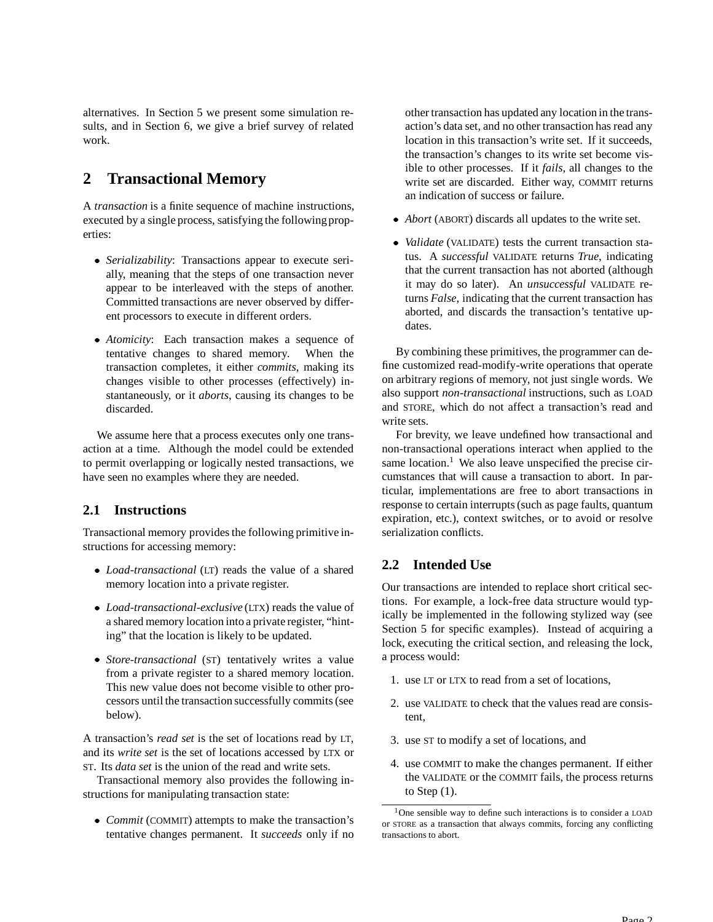alternatives. In Section 5 we present some simulation results, and in Section 6, we give a brief survey of related work.

## **2 Transactional Memory**

A *transaction* is a finite sequence of machine instructions, executed by a single process, satisfying the following properties:

- *Serializability*: Transactions appear to execute serially, meaning that the steps of one transaction never appear to be interleaved with the steps of another. Committed transactions are never observed by different processors to execute in different orders.
- *Atomicity*: Each transaction makes a sequence of tentative changes to shared memory. When the transaction completes, it either *commits*, making its changes visible to other processes (effectively) instantaneously, or it *aborts*, causing its changes to be discarded.

We assume here that a process executes only one transaction at a time. Although the model could be extended to permit overlapping or logically nested transactions, we have seen no examples where they are needed.

## **2.1 Instructions**

Transactional memory provides the following primitive instructions for accessing memory:

- *Load-transactional* (LT) reads the value of a shared memory location into a private register.
- *Load-transactional-exclusive* (LTX) reads the value of a shared memory location into a private register, "hinting" that the location is likely to be updated.
- *Store-transactional* (ST) tentatively writes a value from a private register to a shared memory location. This new value does not become visible to other processors until the transaction successfully commits(see below).

A transaction's *read set* is the set of locations read by LT, and its *write set* is the set of locations accessed by LTX or ST. Its *data set* is the union of the read and write sets.

Transactional memory also provides the following instructions for manipulating transaction state:

 *Commit* (COMMIT) attempts to make the transaction's tentative changes permanent. It *succeeds* only if no other transaction has updated any location in the transaction's data set, and no other transaction has read any location in this transaction's write set. If it succeeds, the transaction's changes to its write set become visible to other processes. If it *fails*, all changes to the write set are discarded. Either way, COMMIT returns an indication of success or failure.

- *Abort* (ABORT) discards all updates to the write set.
- *Validate* (VALIDATE) tests the current transaction status. A *successful* VALIDATE returns *True*, indicating that the current transaction has not aborted (although it may do so later). An *unsuccessful* VALIDATE returns *False*, indicating that the current transaction has aborted, and discards the transaction's tentative updates.

By combining these primitives, the programmer can define customized read-modify-write operations that operate on arbitrary regions of memory, not just single words. We also support *non-transactional* instructions, such as LOAD and STORE, which do not affect a transaction's read and write sets.

For brevity, we leave undefined how transactional and non-transactional operations interact when applied to the same location.<sup>1</sup> We also leave unspecified the precise circumstances that will cause a transaction to abort. In particular, implementations are free to abort transactions in response to certain interrupts(such as page faults, quantum expiration, etc.), context switches, or to avoid or resolve serialization conflicts.

## **2.2 Intended Use**

Our transactions are intended to replace short critical sections. For example, a lock-free data structure would typically be implemented in the following stylized way (see Section 5 for specific examples). Instead of acquiring a lock, executing the critical section, and releasing the lock, a process would:

- 1. use LT or LTX to read from a set of locations,
- 2. use VALIDATE to check that the values read are consistent,
- 3. use ST to modify a set of locations, and
- 4. use COMMIT to make the changes permanent. If either the VALIDATE or the COMMIT fails, the process returns to Step  $(1)$ .

<sup>1</sup>One sensible way to define such interactions is to consider a LOAD or STORE as a transaction that always commits, forcing any conflicting transactions to abort.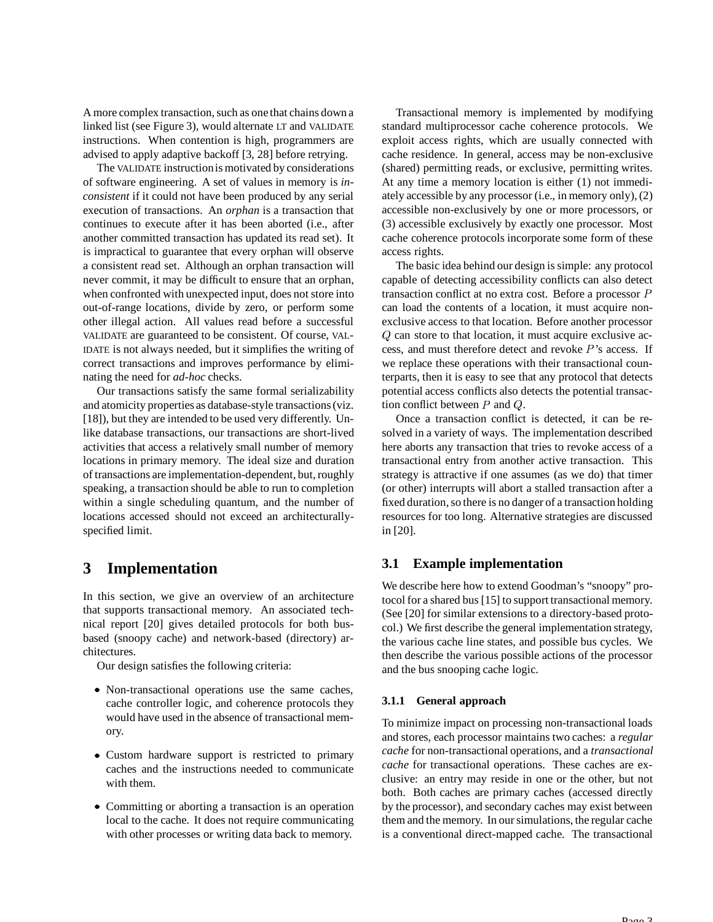A more complex transaction, such as one that chains down a linked list (see Figure 3), would alternate LT and VALIDATE instructions. When contention is high, programmers are advised to apply adaptive backoff [3, 28] before retrying.

The VALIDATE instructionis motivated by considerations of software engineering. A set of values in memory is *inconsistent* if it could not have been produced by any serial execution of transactions. An *orphan* is a transaction that continues to execute after it has been aborted (i.e., after another committed transaction has updated its read set). It is impractical to guarantee that every orphan will observe a consistent read set. Although an orphan transaction will never commit, it may be difficult to ensure that an orphan, when confronted with unexpected input, does not store into out-of-range locations, divide by zero, or perform some other illegal action. All values read before a successful VALIDATE are guaranteed to be consistent. Of course, VAL-IDATE is not always needed, but it simplifies the writing of correct transactions and improves performance by eliminating the need for *ad-hoc* checks.

Our transactions satisfy the same formal serializability and atomicity properties as database-style transactions(viz. [18]), but they are intended to be used very differently. Unlike database transactions, our transactions are short-lived activities that access a relatively small number of memory locations in primary memory. The ideal size and duration of transactions are implementation-dependent, but, roughly speaking, a transaction should be able to run to completion within a single scheduling quantum, and the number of locations accessed should not exceed an architecturallyspecified limit.

## **3 Implementation**

In this section, we give an overview of an architecture that supports transactional memory. An associated technical report [20] gives detailed protocols for both busbased (snoopy cache) and network-based (directory) architectures.

Our design satisfies the following criteria:

- Non-transactional operations use the same caches, cache controller logic, and coherence protocols they would have used in the absence of transactional memory.
- Custom hardware support is restricted to primary caches and the instructions needed to communicate with them.
- Committing or aborting a transaction is an operation local to the cache. It does not require communicating with other processes or writing data back to memory.

Transactional memory is implemented by modifying standard multiprocessor cache coherence protocols. We exploit access rights, which are usually connected with cache residence. In general, access may be non-exclusive (shared) permitting reads, or exclusive, permitting writes. At any time a memory location is either (1) not immediately accessible by any processor (i.e., in memory only), (2) accessible non-exclusively by one or more processors, or (3) accessible exclusively by exactly one processor. Most cache coherence protocols incorporate some form of these access rights.

The basic idea behind our design is simple: any protocol capable of detecting accessibility conflicts can also detect transaction conflict at no extra cost. Before a processor  $P$ can load the contents of a location, it must acquire nonexclusive access to that location. Before another processor  $Q$  can store to that location, it must acquire exclusive access, and must therefore detect and revoke 's access. If we replace these operations with their transactional counterparts, then it is easy to see that any protocol that detects potential access conflicts also detects the potential transaction conflict between  $P$  and  $Q$ .

Once a transaction conflict is detected, it can be resolved in a variety of ways. The implementation described here aborts any transaction that tries to revoke access of a transactional entry from another active transaction. This strategy is attractive if one assumes (as we do) that timer (or other) interrupts will abort a stalled transaction after a fixed duration, so there is no danger of a transaction holding resources for too long. Alternative strategies are discussed in [20].

## **3.1 Example implementation**

We describe here how to extend Goodman's "snoopy" protocol for a shared bus [15] to support transactional memory. (See [20] for similar extensions to a directory-based protocol.) We first describe the general implementation strategy, the various cache line states, and possible bus cycles. We then describe the various possible actions of the processor and the bus snooping cache logic.

## **3.1.1 General approach**

To minimize impact on processing non-transactional loads and stores, each processor maintains two caches: a *regular cache* for non-transactional operations, and a *transactional cache* for transactional operations. These caches are exclusive: an entry may reside in one or the other, but not both. Both caches are primary caches (accessed directly by the processor), and secondary caches may exist between them and the memory. In oursimulations, the regular cache is a conventional direct-mapped cache. The transactional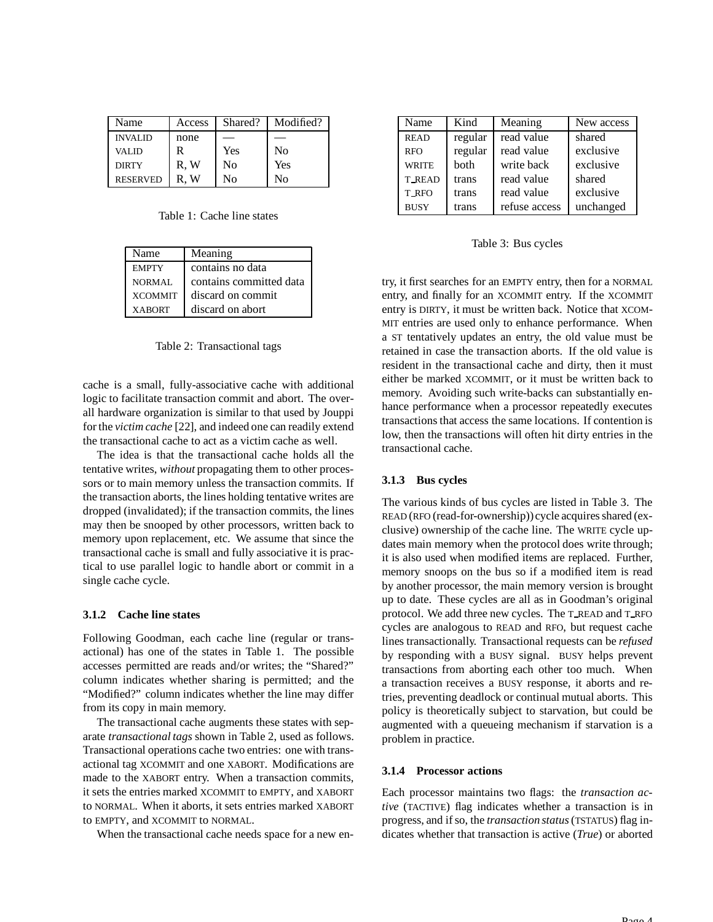| Name            | Access | Shared? | Modified?      |
|-----------------|--------|---------|----------------|
| <b>INVALID</b>  | none   |         |                |
| <b>VALID</b>    | R      | Yes     | N <sub>0</sub> |
| <b>DIRTY</b>    | R.W    | No      | Yes            |
| <b>RESERVED</b> | R.W    | Nο      | No             |

Table 1: Cache line states

| Name           | Meaning                 |
|----------------|-------------------------|
| <b>EMPTY</b>   | contains no data        |
| NORMAL         | contains committed data |
| <b>XCOMMIT</b> | discard on commit       |
| <b>XABORT</b>  | discard on abort        |

Table 2: Transactional tags

cache is a small, fully-associative cache with additional logic to facilitate transaction commit and abort. The overall hardware organization is similar to that used by Jouppi for the *victim cache* [22], and indeed one can readily extend the transactional cache to act as a victim cache as well.

The idea is that the transactional cache holds all the tentative writes, *without* propagating them to other processors or to main memory unless the transaction commits. If the transaction aborts, the lines holding tentative writes are dropped (invalidated); if the transaction commits, the lines may then be snooped by other processors, written back to memory upon replacement, etc. We assume that since the transactional cache is small and fully associative it is practical to use parallel logic to handle abort or commit in a single cache cycle.

#### **3.1.2 Cache line states**

Following Goodman, each cache line (regular or transactional) has one of the states in Table 1. The possible accesses permitted are reads and/or writes; the "Shared?" column indicates whether sharing is permitted; and the "Modified?" column indicates whether the line may differ from its copy in main memory.

The transactional cache augments these states with separate *transactional tags* shown in Table 2, used as follows. Transactional operations cache two entries: one with transactional tag XCOMMIT and one XABORT. Modifications are made to the XABORT entry. When a transaction commits, it sets the entries marked XCOMMIT to EMPTY, and XABORT to NORMAL. When it aborts, it sets entries marked XABORT to EMPTY, and XCOMMIT to NORMAL.

When the transactional cache needs space for a new en-

| Name          | Kind    | Meaning       | New access |
|---------------|---------|---------------|------------|
| <b>READ</b>   | regular | read value    | shared     |
| <b>RFO</b>    | regular | read value    | exclusive  |
| <b>WRITE</b>  | both    | write back    | exclusive  |
| <b>T_READ</b> | trans   | read value    | shared     |
| T_RFO         | trans   | read value    | exclusive  |
| <b>BUSY</b>   | trans   | refuse access | unchanged  |

Table 3: Bus cycles

try, it first searches for an EMPTY entry, then for a NORMAL entry, and finally for an XCOMMIT entry. If the XCOMMIT entry is DIRTY, it must be written back. Notice that XCOM-MIT entries are used only to enhance performance. When a ST tentatively updates an entry, the old value must be retained in case the transaction aborts. If the old value is resident in the transactional cache and dirty, then it must either be marked XCOMMIT, or it must be written back to memory. Avoiding such write-backs can substantially enhance performance when a processor repeatedly executes transactions that access the same locations. If contention is low, then the transactions will often hit dirty entries in the transactional cache.

#### **3.1.3 Bus cycles**

The various kinds of bus cycles are listed in Table 3. The READ (RFO (read-for-ownership)) cycle acquires shared (exclusive) ownership of the cache line. The WRITE cycle updates main memory when the protocol does write through; it is also used when modified items are replaced. Further, memory snoops on the bus so if a modified item is read by another processor, the main memory version is brought up to date. These cycles are all as in Goodman's original protocol. We add three new cycles. The T READ and T RFO cycles are analogous to READ and RFO, but request cache lines transactionally. Transactional requests can be *refused* by responding with a BUSY signal. BUSY helps prevent transactions from aborting each other too much. When a transaction receives a BUSY response, it aborts and retries, preventing deadlock or continual mutual aborts. This policy is theoretically subject to starvation, but could be augmented with a queueing mechanism if starvation is a problem in practice.

#### **3.1.4 Processor actions**

Each processor maintains two flags: the *transaction active* (TACTIVE) flag indicates whether a transaction is in progress, and ifso, the *transaction status*(TSTATUS) flag indicates whether that transaction is active (*True*) or aborted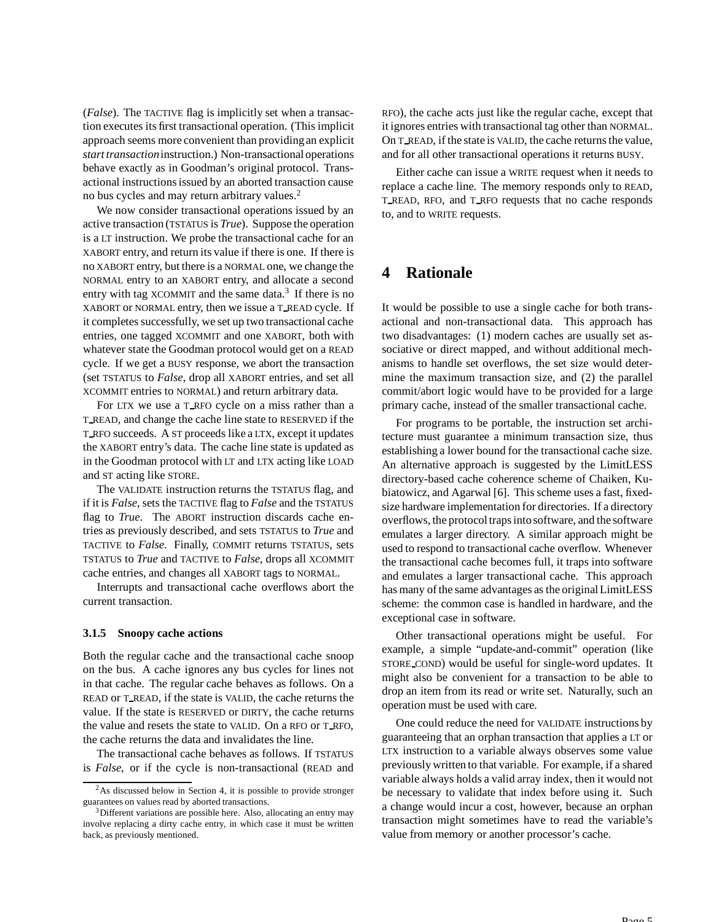(*False*). The TACTIVE flag is implicitly set when a transaction executes its first transactional operation. (This implicit approach seems more convenient than providingan explicit *start transaction*instruction.) Non-transactionaloperations behave exactly as in Goodman's original protocol. Transactional instructions issued by an aborted transaction cause no bus cycles and may return arbitrary values.<sup>2</sup>

We now consider transactional operations issued by an active transaction (TSTATUS is *True*). Suppose the operation is a LT instruction. We probe the transactional cache for an XABORT entry, and return its value if there is one. If there is no XABORT entry, but there is a NORMAL one, we change the NORMAL entry to an XABORT entry, and allocate a second entry with tag XCOMMIT and the same data.<sup>3</sup> If there is no XABORT or NORMAL entry, then we issue a T READ cycle. If it completes successfully, we set up two transactional cache entries, one tagged XCOMMIT and one XABORT, both with whatever state the Goodman protocol would get on a READ cycle. If we get a BUSY response, we abort the transaction (set TSTATUS to *False*, drop all XABORT entries, and set all XCOMMIT entries to NORMAL) and return arbitrary data.

For LTX we use a T\_RFO cycle on a miss rather than a T READ, and change the cache line state to RESERVED if the T RFO succeeds. A ST proceeds like a LTX, except it updates the XABORT entry's data. The cache line state is updated as in the Goodman protocol with LT and LTX acting like LOAD and ST acting like STORE.

The VALIDATE instruction returns the TSTATUS flag, and if it is *False*, sets the TACTIVE flag to *False* and the TSTATUS flag to *True*. The ABORT instruction discards cache entries as previously described, and sets TSTATUS to *True* and TACTIVE to *False*. Finally, COMMIT returns TSTATUS, sets TSTATUS to *True* and TACTIVE to *False*, drops all XCOMMIT cache entries, and changes all XABORT tags to NORMAL.

Interrupts and transactional cache overflows abort the current transaction.

#### **3.1.5 Snoopy cache actions**

Both the regular cache and the transactional cache snoop on the bus. A cache ignores any bus cycles for lines not in that cache. The regular cache behaves as follows. On a READ or T READ, if the state is VALID, the cache returns the value. If the state is RESERVED or DIRTY, the cache returns the value and resets the state to VALID. On a RFO or T RFO, the cache returns the data and invalidates the line.

The transactional cache behaves as follows. If TSTATUS is *False*, or if the cycle is non-transactional (READ and RFO), the cache acts just like the regular cache, except that it ignores entries with transactional tag other than NORMAL. On T\_READ, if the state is VALID, the cache returns the value, and for all other transactional operations it returns BUSY.

Either cache can issue a WRITE request when it needs to replace a cache line. The memory responds only to READ, T READ, RFO, and T RFO requests that no cache responds to, and to WRITE requests.

## **4 Rationale**

It would be possible to use a single cache for both transactional and non-transactional data. This approach has two disadvantages: (1) modern caches are usually set associative or direct mapped, and without additional mechanisms to handle set overflows, the set size would determine the maximum transaction size, and (2) the parallel commit/abort logic would have to be provided for a large primary cache, instead of the smaller transactional cache.

For programs to be portable, the instruction set architecture must guarantee a minimum transaction size, thus establishing a lower bound for the transactional cache size. An alternative approach is suggested by the LimitLESS directory-based cache coherence scheme of Chaiken, Kubiatowicz, and Agarwal [6]. This scheme uses a fast, fixedsize hardware implementation for directories. If a directory overflows, the protocol traps into software, and the software emulates a larger directory. A similar approach might be used to respond to transactional cache overflow. Whenever the transactional cache becomes full, it traps into software and emulates a larger transactional cache. This approach has many of the same advantages as the original LimitLESS scheme: the common case is handled in hardware, and the exceptional case in software.

Other transactional operations might be useful. For example, a simple "update-and-commit" operation (like STORE COND) would be useful for single-word updates. It might also be convenient for a transaction to be able to drop an item from its read or write set. Naturally, such an operation must be used with care.

One could reduce the need for VALIDATE instructions by guaranteeing that an orphan transaction that applies a LT or LTX instruction to a variable always observes some value previously written to that variable. For example, if a shared variable always holds a valid array index, then it would not be necessary to validate that index before using it. Such a change would incur a cost, however, because an orphan transaction might sometimes have to read the variable's value from memory or another processor's cache.

<sup>&</sup>lt;sup>2</sup>As discussed below in Section 4, it is possible to provide stronger guarantees on values read by aborted transactions.

<sup>3</sup>Different variations are possible here. Also, allocating an entry may involve replacing a dirty cache entry, in which case it must be written back, as previously mentioned.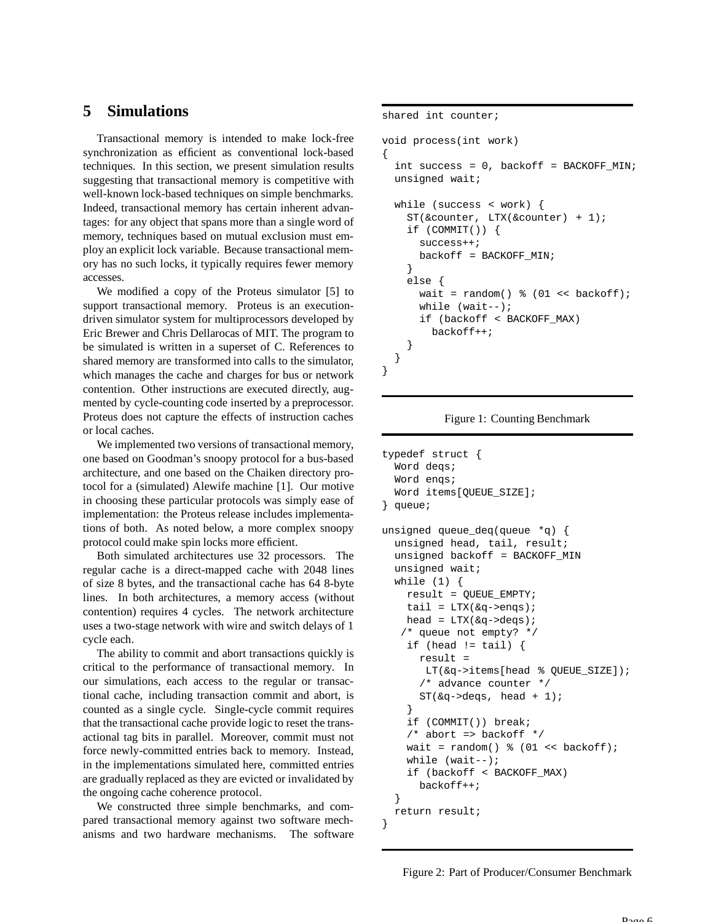## **5 Simulations**

Transactional memory is intended to make lock-free synchronization as efficient as conventional lock-based techniques. In this section, we present simulation results suggesting that transactional memory is competitive with well-known lock-based techniques on simple benchmarks. Indeed, transactional memory has certain inherent advantages: for any object that spans more than a single word of memory, techniques based on mutual exclusion must employ an explicit lock variable. Because transactional memory has no such locks, it typically requires fewer memory accesses.

We modified a copy of the Proteus simulator [5] to support transactional memory. Proteus is an executiondriven simulator system for multiprocessors developed by Eric Brewer and Chris Dellarocas of MIT. The program to be simulated is written in a superset of C. References to shared memory are transformed into calls to the simulator, which manages the cache and charges for bus or network contention. Other instructions are executed directly, augmented by cycle-counting code inserted by a preprocessor. Proteus does not capture the effects of instruction caches or local caches.

We implemented two versions of transactional memory, one based on Goodman's snoopy protocol for a bus-based architecture, and one based on the Chaiken directory protocol for a (simulated) Alewife machine [1]. Our motive in choosing these particular protocols was simply ease of implementation: the Proteus release includes implementations of both. As noted below, a more complex snoopy protocol could make spin locks more efficient.

Both simulated architectures use 32 processors. The regular cache is a direct-mapped cache with 2048 lines of size 8 bytes, and the transactional cache has 64 8-byte lines. In both architectures, a memory access (without contention) requires 4 cycles. The network architecture uses a two-stage network with wire and switch delays of 1 cycle each.

The ability to commit and abort transactions quickly is critical to the performance of transactional memory. In our simulations, each access to the regular or transactional cache, including transaction commit and abort, is counted as a single cycle. Single-cycle commit requires that the transactional cache provide logic to reset the transactional tag bits in parallel. Moreover, commit must not force newly-committed entries back to memory. Instead, in the implementations simulated here, committed entries are gradually replaced as they are evicted or invalidated by the ongoing cache coherence protocol.

We constructed three simple benchmarks, and compared transactional memory against two software mechanisms and two hardware mechanisms. The software shared int counter;

void process(int work)

{ int success =  $0$ , backoff = BACKOFF\_MIN; unsigned wait;

```
while (success < work) {
    ST(&counter, LTX(&counter) + 1);
    if (COMMIT()) {
      success++;
     backoff = BACKOFF_MIN;
    }
    else {
      wait = random() % (01 << backoff);
      while (wait--);
      if (backoff < BACKOFF_MAX)
        backoff++;
    }
 }
}
```
Figure 1: Counting Benchmark

```
typedef struct {
  Word deqs;
  Word enqs;
  Word items[QUEUE_SIZE];
} queue;
unsigned queue_deq(queue *q) {
  unsigned head, tail, result;
  unsigned backoff = BACKOFF_MIN
  unsigned wait;
  while (1) {
    result = QUEUE_EMPTY;
    tail = LTX(\&q->enqs);
    head = LTX(\&q\rightarrowdeqs);
   /* queue not empty? */
    if (head != tail) {
      result =
       LT(&q->items[head % QUEUE_SIZE]);
      /* advance counter */
      ST(\&q\text{-} > \text{deg}s, \text{ head } + 1);}
    if (COMMIT()) break;
    /* abort => backoff */wait = random() % (01 \leq k) backoff);
    while (wait--);
    if (backoff < BACKOFF_MAX)
      backoff++;
  }
  return result;
}
```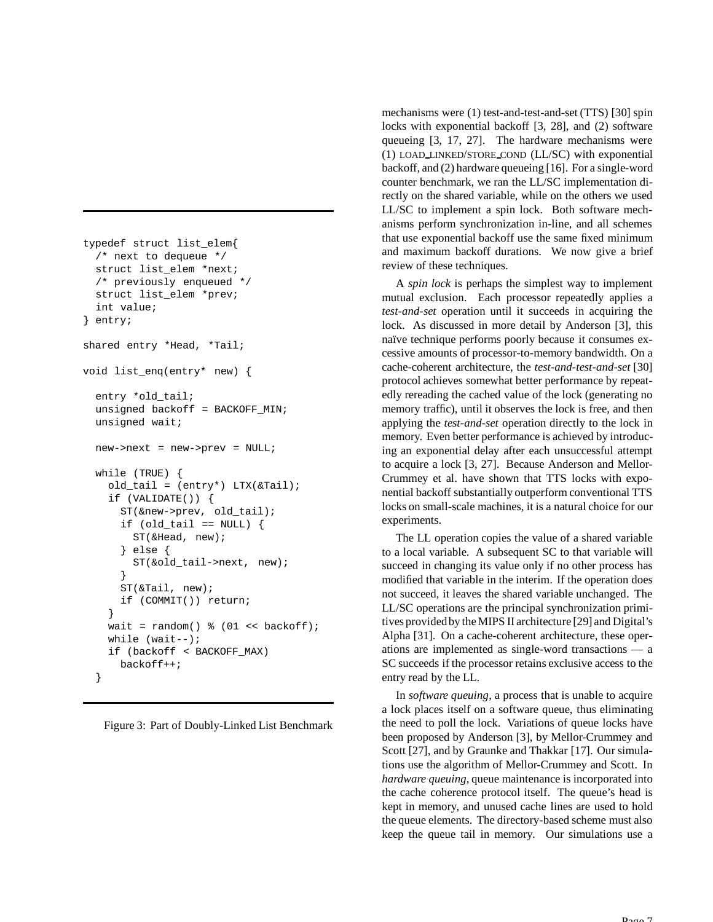```
typedef struct list_elem{
  /* next to dequeue */
  struct list_elem *next;
  /* previously enqueued */
  struct list_elem *prev;
  int value;
} entry;
shared entry *Head, *Tail;
void list_enq(entry* new) {
  entry *old_tail;
  unsigned backoff = BACKOFF_MIN;
  unsigned wait;
  new->next = new->prev = NULL;
  while (TRUE) {
   old tail = (entry*) LTX(\&Tail);
   if (VALIDATE()) {
      ST(&new->prev, old_tail);
      if (old\_tail == NULL) {
        ST(&Head, new);
      } else {
        ST(&old_tail->next, new);
      }
      ST(&Tail, new);
      if (COMMIT()) return;
    }
   wait = random() % (01 << backoff);
    while (wait--);
    if (backoff < BACKOFF_MAX)
      backoff++;
  }
```

|  |  |  |  |  |  | Figure 3: Part of Doubly-Linked List Benchmark |
|--|--|--|--|--|--|------------------------------------------------|
|--|--|--|--|--|--|------------------------------------------------|

mechanisms were (1) test-and-test-and-set (TTS) [30] spin locks with exponential backoff [3, 28], and (2) software queueing [3, 17, 27]. The hardware mechanisms were (1) LOAD LINKED/STORE COND (LL/SC) with exponential backoff, and (2) hardware queueing [16]. For a single-word counter benchmark, we ran the LL/SC implementation directly on the shared variable, while on the others we used LL/SC to implement a spin lock. Both software mechanisms perform synchronization in-line, and all schemes that use exponential backoff use the same fixed minimum and maximum backoff durations. We now give a brief review of these techniques.

A *spin lock* is perhaps the simplest way to implement mutual exclusion. Each processor repeatedly applies a *test-and-set* operation until it succeeds in acquiring the lock. As discussed in more detail by Anderson [3], this naïve technique performs poorly because it consumes excessive amounts of processor-to-memory bandwidth. On a cache-coherent architecture, the *test-and-test-and-set* [30] protocol achieves somewhat better performance by repeatedly rereading the cached value of the lock (generating no memory traffic), until it observes the lock is free, and then applying the *test-and-set* operation directly to the lock in memory. Even better performance is achieved by introducing an exponential delay after each unsuccessful attempt to acquire a lock [3, 27]. Because Anderson and Mellor-Crummey et al. have shown that TTS locks with exponential backoff substantially outperform conventional TTS locks on small-scale machines, it is a natural choice for our experiments.

The LL operation copies the value of a shared variable to a local variable. A subsequent SC to that variable will succeed in changing its value only if no other process has modified that variable in the interim. If the operation does not succeed, it leaves the shared variable unchanged. The LL/SC operations are the principal synchronization primitives providedby theMIPS II architecture [29] and Digital's Alpha [31]. On a cache-coherent architecture, these operations are implemented as single-word transactions — a SC succeeds if the processor retains exclusive access to the entry read by the LL.

In *software queuing*, a process that is unable to acquire a lock places itself on a software queue, thus eliminating the need to poll the lock. Variations of queue locks have been proposed by Anderson [3], by Mellor-Crummey and Scott [27], and by Graunke and Thakkar [17]. Our simulations use the algorithm of Mellor-Crummey and Scott. In *hardware queuing*, queue maintenance is incorporated into the cache coherence protocol itself. The queue's head is kept in memory, and unused cache lines are used to hold the queue elements. The directory-based scheme must also keep the queue tail in memory. Our simulations use a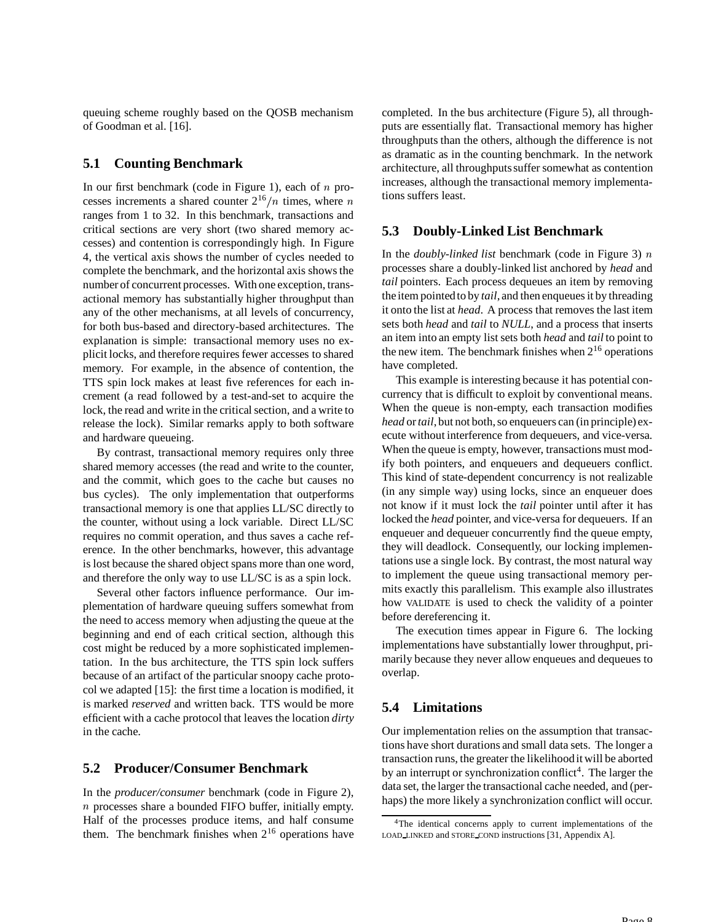queuing scheme roughly based on the QOSB mechanism of Goodman et al. [16].

### **5.1 Counting Benchmark**

In our first benchmark (code in Figure 1), each of  $n$  processes increments a shared counter  $2^{16}/n$  times, where  $n$  tions ranges from 1 to 32. In this benchmark, transactions and critical sections are very short (two shared memory accesses) and contention is correspondingly high. In Figure 4, the vertical axis shows the number of cycles needed to complete the benchmark, and the horizontal axis shows the number of concurrent processes. With one exception, transactional memory has substantially higher throughput than any of the other mechanisms, at all levels of concurrency, for both bus-based and directory-based architectures. The explanation is simple: transactional memory uses no explicit locks, and therefore requires fewer accesses to shared memory. For example, in the absence of contention, the TTS spin lock makes at least five references for each increment (a read followed by a test-and-set to acquire the lock, the read and write in the critical section, and a write to release the lock). Similar remarks apply to both software and hardware queueing.

By contrast, transactional memory requires only three shared memory accesses (the read and write to the counter, and the commit, which goes to the cache but causes no bus cycles). The only implementation that outperforms transactional memory is one that applies LL/SC directly to the counter, without using a lock variable. Direct LL/SC requires no commit operation, and thus saves a cache reference. In the other benchmarks, however, this advantage is lost because the shared object spans more than one word, and therefore the only way to use LL/SC is as a spin lock.

Several other factors influence performance. Our implementation of hardware queuing suffers somewhat from the need to access memory when adjusting the queue at the beginning and end of each critical section, although this cost might be reduced by a more sophisticated implementation. In the bus architecture, the TTS spin lock suffers because of an artifact of the particular snoopy cache protocol we adapted [15]: the first time a location is modified, it is marked *reserved* and written back. TTS would be more efficient with a cache protocol that leaves the location *dirty* in the cache.

## **5.2 Producer/Consumer Benchmark**

In the *producer/consumer* benchmark (code in Figure 2), processes share a bounded FIFO buffer, initially empty. Half of the processes produce items, and half consume them. The benchmark finishes when  $2^{16}$  operations have completed. In the bus architecture (Figure 5), all throughputs are essentially flat. Transactional memory has higher throughputs than the others, although the difference is not as dramatic as in the counting benchmark. In the network architecture, all throughputssuffer somewhat as contention increases, although the transactional memory implementations suffers least.

#### **5.3 Doubly-Linked List Benchmark**

In the *doubly-linked list* benchmark (code in Figure 3) processes share a doubly-linked list anchored by *head* and *tail* pointers. Each process dequeues an item by removing the item pointed to by *tail*, and then enqueues it by threading it onto the list at *head*. A process that removes the last item sets both *head* and *tail* to *NULL*, and a process that inserts an item into an empty list sets both *head* and *tail* to point to the new item. The benchmark finishes when  $2^{16}$  operations have completed.

This example is interesting because it has potential concurrency that is difficult to exploit by conventional means. When the queue is non-empty, each transaction modifies *head* or *tail*, but not both, so enqueuers can (in principle) execute without interference from dequeuers, and vice-versa. When the queue is empty, however, transactions must modify both pointers, and enqueuers and dequeuers conflict. This kind of state-dependent concurrency is not realizable (in any simple way) using locks, since an enqueuer does not know if it must lock the *tail* pointer until after it has locked the *head* pointer, and vice-versa for dequeuers. If an enqueuer and dequeuer concurrently find the queue empty, they will deadlock. Consequently, our locking implementations use a single lock. By contrast, the most natural way to implement the queue using transactional memory permits exactly this parallelism. This example also illustrates how VALIDATE is used to check the validity of a pointer before dereferencing it.

The execution times appear in Figure 6. The locking implementations have substantially lower throughput, primarily because they never allow enqueues and dequeues to overlap.

### **5.4 Limitations**

Our implementation relies on the assumption that transactions have short durations and small data sets. The longer a transaction runs, the greater the likelihoodit will be aborted by an interrupt or synchronization conflict<sup>4</sup>. The larger the data set, the larger the transactional cache needed, and (perhaps) the more likely a synchronization conflict will occur.

<sup>4</sup>The identical concerns apply to current implementations of the LOAD LINKED and STORE COND instructions [31, Appendix A].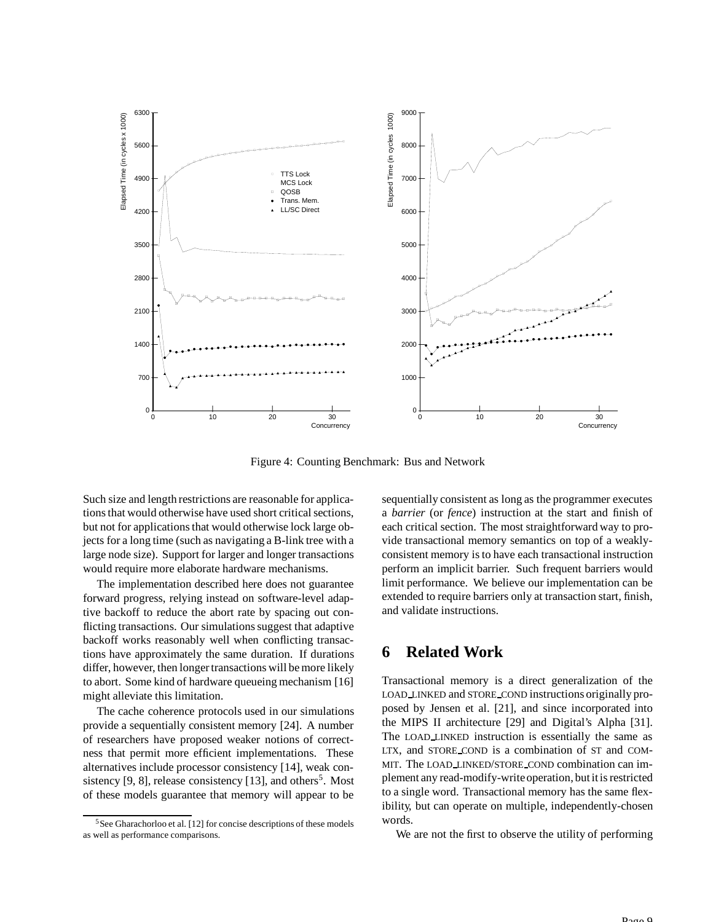

Figure 4: Counting Benchmark: Bus and Network

Such size and length restrictions are reasonable for applications that would otherwise have used short critical sections, but not for applications that would otherwise lock large objects for a long time (such as navigating a B-link tree with a large node size). Support for larger and longer transactions would require more elaborate hardware mechanisms.

The implementation described here does not guarantee forward progress, relying instead on software-level adaptive backoff to reduce the abort rate by spacing out conflicting transactions. Our simulations suggest that adaptive backoff works reasonably well when conflicting transactions have approximately the same duration. If durations differ, however, then longer transactions will be more likely to abort. Some kind of hardware queueing mechanism [16] might alleviate this limitation.

The cache coherence protocols used in our simulations provide a sequentially consistent memory [24]. A number of researchers have proposed weaker notions of correctness that permit more efficient implementations. These alternatives include processor consistency [14], weak consistency  $[9, 8]$ , release consistency  $[13]$ , and others<sup>5</sup>. Most of these models guarantee that memory will appear to be

sequentially consistent as long as the programmer executes a *barrier* (or *fence*) instruction at the start and finish of each critical section. The most straightforward way to provide transactional memory semantics on top of a weaklyconsistent memory is to have each transactional instruction perform an implicit barrier. Such frequent barriers would limit performance. We believe our implementation can be extended to require barriers only at transaction start, finish, and validate instructions.

## **6 Related Work**

Transactional memory is a direct generalization of the LOAD LINKED and STORE COND instructions originally proposed by Jensen et al. [21], and since incorporated into the MIPS II architecture [29] and Digital's Alpha [31]. The LOAD LINKED instruction is essentially the same as LTX, and STORE COND is a combination of ST and COM-MIT. The LOAD LINKED/STORE COND combination can implement any read-modify-writeoperation, but itisrestricted to a single word. Transactional memory has the same flexibility, but can operate on multiple, independently-chosen words.

We are not the first to observe the utility of performing

<sup>&</sup>lt;sup>5</sup>See Gharachorloo et al. [12] for concise descriptions of these models as well as performance comparisons.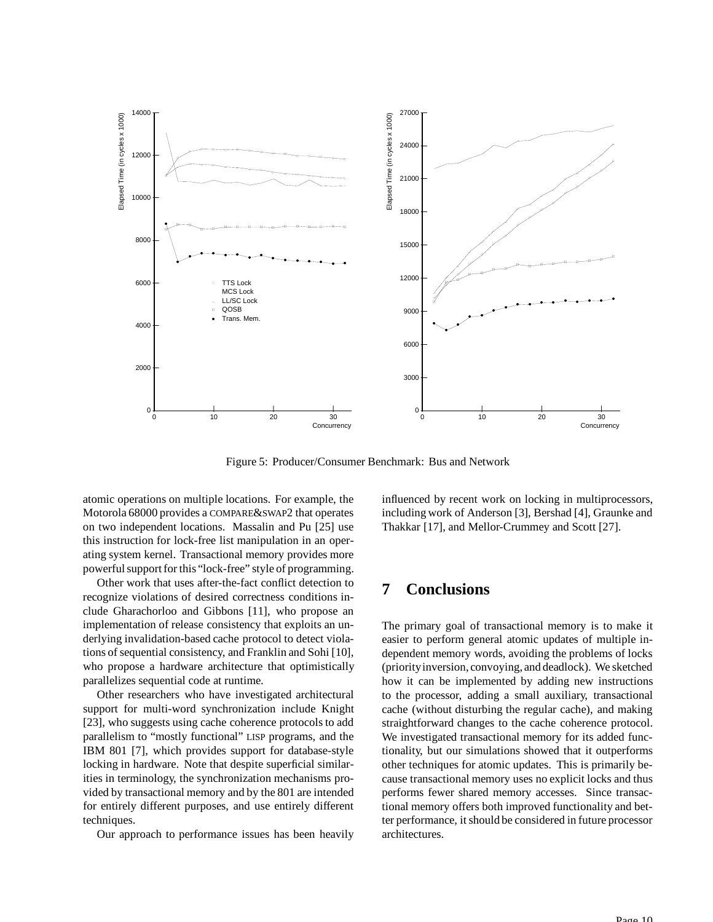

Figure 5: Producer/Consumer Benchmark: Bus and Network

atomic operations on multiple locations. For example, the Motorola 68000 provides a COMPARE&SWAP2 that operates on two independent locations. Massalin and Pu [25] use this instruction for lock-free list manipulation in an operating system kernel. Transactional memory provides more powerful support for this "lock-free" style of programming.

Other work that uses after-the-fact conflict detection to recognize violations of desired correctness conditions include Gharachorloo and Gibbons [11], who propose an implementation of release consistency that exploits an underlying invalidation-based cache protocol to detect violations of sequential consistency, and Franklin and Sohi [10], who propose a hardware architecture that optimistically parallelizes sequential code at runtime.

Other researchers who have investigated architectural support for multi-word synchronization include Knight [23], who suggests using cache coherence protocols to add parallelism to "mostly functional" LISP programs, and the IBM 801 [7], which provides support for database-style locking in hardware. Note that despite superficial similarities in terminology, the synchronization mechanisms provided by transactional memory and by the 801 are intended for entirely different purposes, and use entirely different techniques.

Our approach to performance issues has been heavily

influenced by recent work on locking in multiprocessors, including work of Anderson [3], Bershad [4], Graunke and Thakkar [17], and Mellor-Crummey and Scott [27].

## **7 Conclusions**

The primary goal of transactional memory is to make it easier to perform general atomic updates of multiple independent memory words, avoiding the problems of locks (priorityinversion, convoying, and deadlock). We sketched how it can be implemented by adding new instructions to the processor, adding a small auxiliary, transactional cache (without disturbing the regular cache), and making straightforward changes to the cache coherence protocol. We investigated transactional memory for its added functionality, but our simulations showed that it outperforms other techniques for atomic updates. This is primarily because transactional memory uses no explicit locks and thus performs fewer shared memory accesses. Since transactional memory offers both improved functionality and better performance, it should be considered in future processor architectures.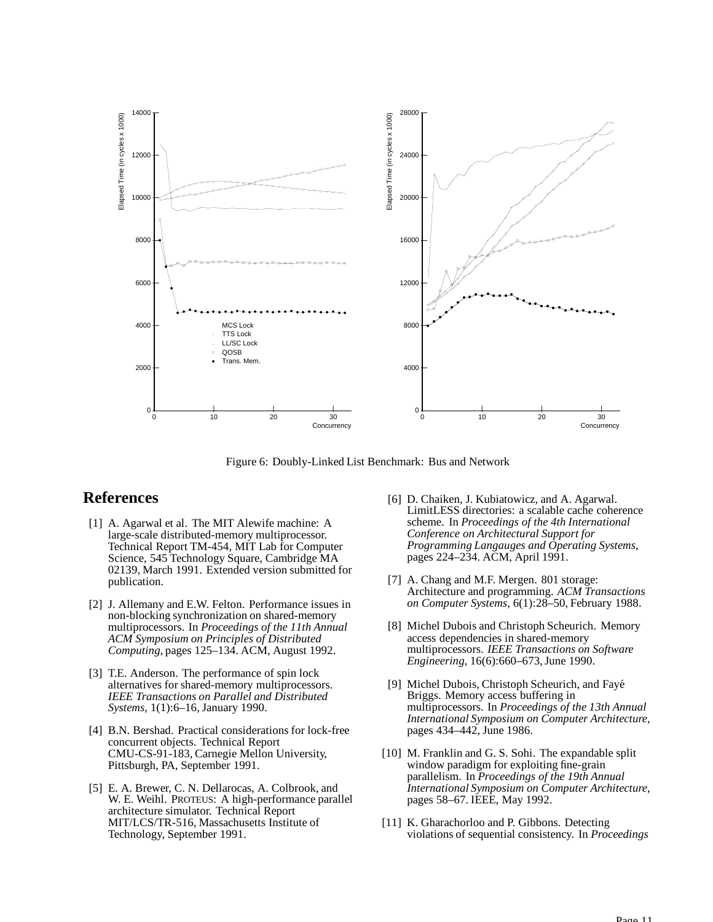

Figure 6: Doubly-Linked List Benchmark: Bus and Network

## **References**

- [1] A. Agarwal et al. The MIT Alewife machine: A large-scale distributed-memory multiprocessor. Technical Report TM-454, MIT Lab for Computer Science, 545 Technology Square, Cambridge MA 02139, March 1991. Extended version submitted for publication.
- [2] J. Allemany and E.W. Felton. Performance issues in non-blocking synchronization on shared-memory multiprocessors. In *Proceedings of the 11th Annual ACM Symposium on Principles of Distributed Computing*, pages 125–134. ACM, August 1992.
- [3] T.E. Anderson. The performance of spin lock alternatives for shared-memory multiprocessors. *IEEE Transactions on Parallel and Distributed Systems*, 1(1):6–16, January 1990.
- [4] B.N. Bershad. Practical considerations for lock-free concurrent objects. Technical Report CMU-CS-91-183, Carnegie Mellon University, Pittsburgh, PA, September 1991.
- [5] E. A. Brewer, C. N. Dellarocas, A. Colbrook, and W. E. Weihl. PROTEUS: A high-performance parallel architecture simulator. Technical Report MIT/LCS/TR-516, Massachusetts Institute of Technology, September 1991.
- [6] D. Chaiken, J. Kubiatowicz, and A. Agarwal. LimitLESS directories: a scalable cache coherence scheme. In *Proceedings of the 4th International Conference on Architectural Support for Programming Langauges and Operating Systems*, pages 224–234. ACM, April 1991.
- [7] A. Chang and M.F. Mergen. 801 storage: Architecture and programming. *ACM Transactions on Computer Systems*, 6(1):28–50, February 1988.
- [8] Michel Dubois and Christoph Scheurich. Memory access dependencies in shared-memory multiprocessors. *IEEE Transactions on Software Engineering*, 16(6):660–673,June 1990.
- [9] Michel Dubois, Christoph Scheurich, and Fayé Briggs. Memory access buffering in multiprocessors. In *Proceedings of the 13th Annual International Symposium on Computer Architecture*, pages 434–442, June 1986.
- [10] M. Franklin and G. S. Sohi. The expandable split window paradigm for exploiting fine-grain parallelism. In *Proceedings of the 19th Annual International Symposium on Computer Architecture*, pages 58–67. IEEE, May 1992.
- [11] K. Gharachorloo and P. Gibbons. Detecting violations of sequential consistency. In *Proceedings*